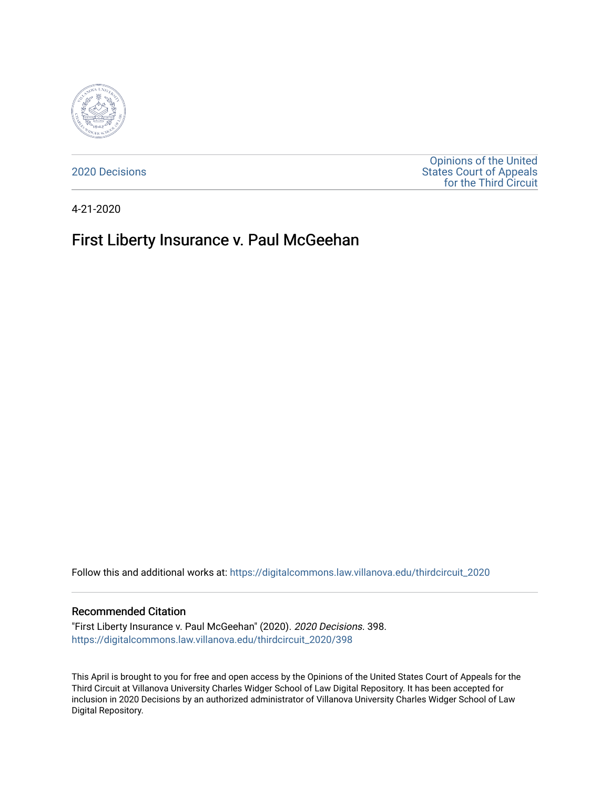

[2020 Decisions](https://digitalcommons.law.villanova.edu/thirdcircuit_2020)

[Opinions of the United](https://digitalcommons.law.villanova.edu/thirdcircuit)  [States Court of Appeals](https://digitalcommons.law.villanova.edu/thirdcircuit)  [for the Third Circuit](https://digitalcommons.law.villanova.edu/thirdcircuit) 

4-21-2020

# First Liberty Insurance v. Paul McGeehan

Follow this and additional works at: [https://digitalcommons.law.villanova.edu/thirdcircuit\\_2020](https://digitalcommons.law.villanova.edu/thirdcircuit_2020?utm_source=digitalcommons.law.villanova.edu%2Fthirdcircuit_2020%2F398&utm_medium=PDF&utm_campaign=PDFCoverPages) 

#### Recommended Citation

"First Liberty Insurance v. Paul McGeehan" (2020). 2020 Decisions. 398. [https://digitalcommons.law.villanova.edu/thirdcircuit\\_2020/398](https://digitalcommons.law.villanova.edu/thirdcircuit_2020/398?utm_source=digitalcommons.law.villanova.edu%2Fthirdcircuit_2020%2F398&utm_medium=PDF&utm_campaign=PDFCoverPages)

This April is brought to you for free and open access by the Opinions of the United States Court of Appeals for the Third Circuit at Villanova University Charles Widger School of Law Digital Repository. It has been accepted for inclusion in 2020 Decisions by an authorized administrator of Villanova University Charles Widger School of Law Digital Repository.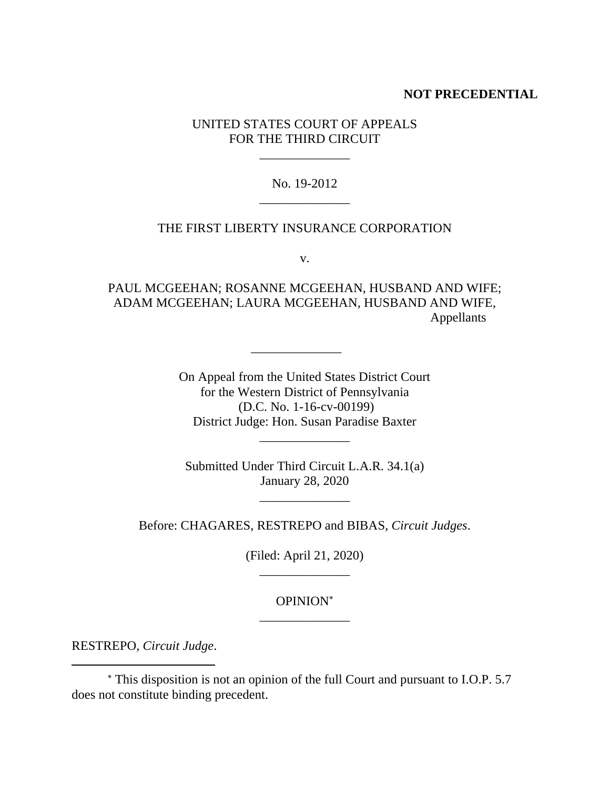## **NOT PRECEDENTIAL**

## UNITED STATES COURT OF APPEALS FOR THE THIRD CIRCUIT

\_\_\_\_\_\_\_\_\_\_\_\_\_\_

## No. 19-2012 \_\_\_\_\_\_\_\_\_\_\_\_\_\_

## THE FIRST LIBERTY INSURANCE CORPORATION

v.

PAUL MCGEEHAN; ROSANNE MCGEEHAN, HUSBAND AND WIFE; ADAM MCGEEHAN; LAURA MCGEEHAN, HUSBAND AND WIFE, Appellants

\_\_\_\_\_\_\_\_\_\_\_\_\_\_

On Appeal from the United States District Court for the Western District of Pennsylvania (D.C. No. 1-16-cv-00199) District Judge: Hon. Susan Paradise Baxter

Submitted Under Third Circuit L.A.R. 34.1(a) January 28, 2020

\_\_\_\_\_\_\_\_\_\_\_\_\_\_

\_\_\_\_\_\_\_\_\_\_\_\_\_\_

Before: CHAGARES, RESTREPO and BIBAS, *Circuit Judges*.

(Filed: April 21, 2020) \_\_\_\_\_\_\_\_\_\_\_\_\_\_

# OPINION \_\_\_\_\_\_\_\_\_\_\_\_\_\_

RESTREPO, *Circuit Judge*.

This disposition is not an opinion of the full Court and pursuant to I.O.P. 5.7 does not constitute binding precedent.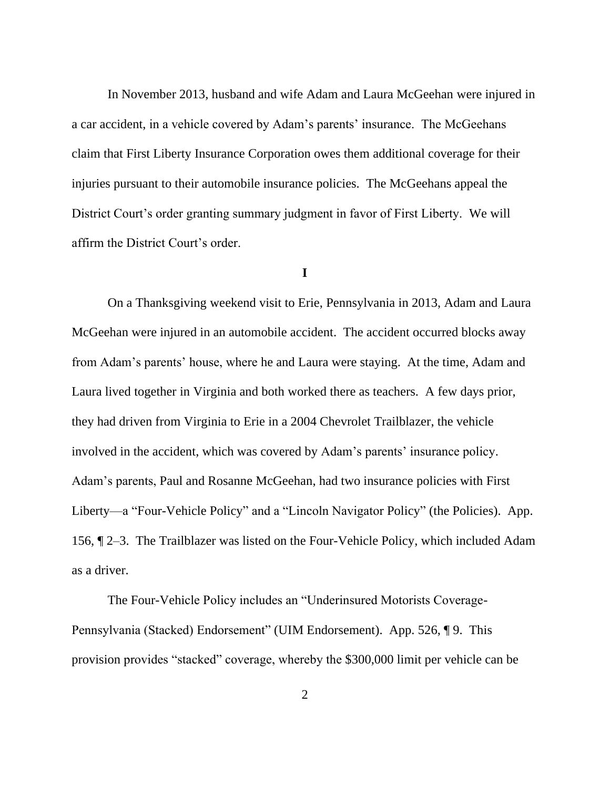In November 2013, husband and wife Adam and Laura McGeehan were injured in a car accident, in a vehicle covered by Adam's parents' insurance. The McGeehans claim that First Liberty Insurance Corporation owes them additional coverage for their injuries pursuant to their automobile insurance policies. The McGeehans appeal the District Court's order granting summary judgment in favor of First Liberty. We will affirm the District Court's order.

### **I**

On a Thanksgiving weekend visit to Erie, Pennsylvania in 2013, Adam and Laura McGeehan were injured in an automobile accident. The accident occurred blocks away from Adam's parents' house, where he and Laura were staying. At the time, Adam and Laura lived together in Virginia and both worked there as teachers. A few days prior, they had driven from Virginia to Erie in a 2004 Chevrolet Trailblazer, the vehicle involved in the accident, which was covered by Adam's parents' insurance policy. Adam's parents, Paul and Rosanne McGeehan, had two insurance policies with First Liberty—a "Four-Vehicle Policy" and a "Lincoln Navigator Policy" (the Policies). App. 156, ¶ 2–3. The Trailblazer was listed on the Four-Vehicle Policy, which included Adam as a driver.

The Four-Vehicle Policy includes an "Underinsured Motorists Coverage-Pennsylvania (Stacked) Endorsement" (UIM Endorsement). App. 526, ¶ 9. This provision provides "stacked" coverage, whereby the \$300,000 limit per vehicle can be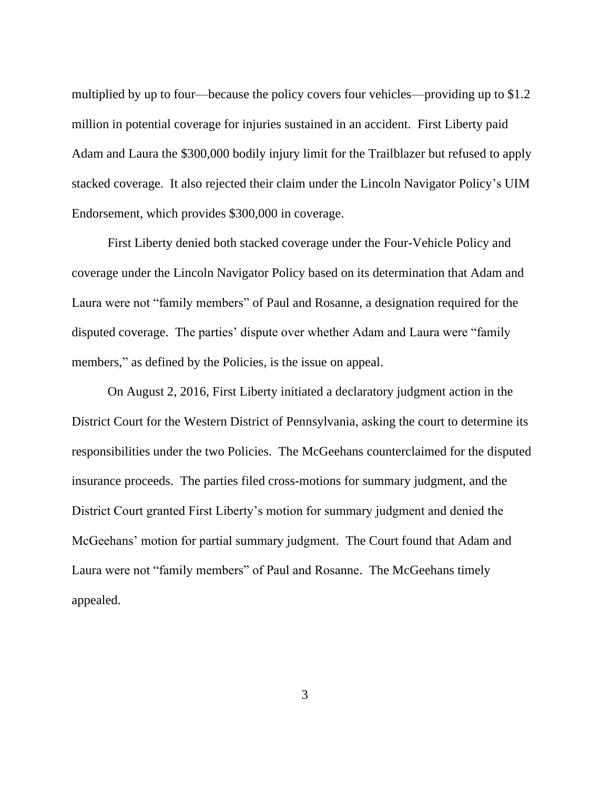multiplied by up to four—because the policy covers four vehicles—providing up to \$1.2 million in potential coverage for injuries sustained in an accident. First Liberty paid Adam and Laura the \$300,000 bodily injury limit for the Trailblazer but refused to apply stacked coverage. It also rejected their claim under the Lincoln Navigator Policy's UIM Endorsement, which provides \$300,000 in coverage.

First Liberty denied both stacked coverage under the Four-Vehicle Policy and coverage under the Lincoln Navigator Policy based on its determination that Adam and Laura were not "family members" of Paul and Rosanne, a designation required for the disputed coverage. The parties' dispute over whether Adam and Laura were "family members," as defined by the Policies, is the issue on appeal.

On August 2, 2016, First Liberty initiated a declaratory judgment action in the District Court for the Western District of Pennsylvania, asking the court to determine its responsibilities under the two Policies. The McGeehans counterclaimed for the disputed insurance proceeds. The parties filed cross-motions for summary judgment, and the District Court granted First Liberty's motion for summary judgment and denied the McGeehans' motion for partial summary judgment. The Court found that Adam and Laura were not "family members" of Paul and Rosanne. The McGeehans timely appealed.

3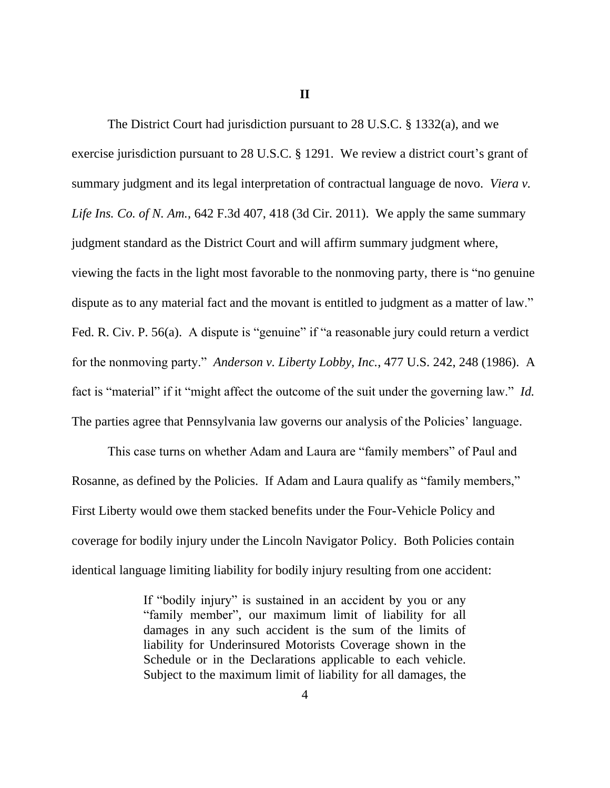**II**

The District Court had jurisdiction pursuant to 28 U.S.C. § 1332(a), and we exercise jurisdiction pursuant to 28 U.S.C. § 1291. We review a district court's grant of summary judgment and its legal interpretation of contractual language de novo. *Viera v. Life Ins. Co. of N. Am.*, 642 F.3d 407, 418 (3d Cir. 2011). We apply the same summary judgment standard as the District Court and will affirm summary judgment where, viewing the facts in the light most favorable to the nonmoving party, there is "no genuine dispute as to any material fact and the movant is entitled to judgment as a matter of law." Fed. R. Civ. P. 56(a). A dispute is "genuine" if "a reasonable jury could return a verdict for the nonmoving party." *Anderson v. Liberty Lobby, Inc.*, 477 U.S. 242, 248 (1986). A fact is "material" if it "might affect the outcome of the suit under the governing law." *Id.* The parties agree that Pennsylvania law governs our analysis of the Policies' language.

This case turns on whether Adam and Laura are "family members" of Paul and Rosanne, as defined by the Policies. If Adam and Laura qualify as "family members," First Liberty would owe them stacked benefits under the Four-Vehicle Policy and coverage for bodily injury under the Lincoln Navigator Policy. Both Policies contain identical language limiting liability for bodily injury resulting from one accident:

> If "bodily injury" is sustained in an accident by you or any "family member", our maximum limit of liability for all damages in any such accident is the sum of the limits of liability for Underinsured Motorists Coverage shown in the Schedule or in the Declarations applicable to each vehicle. Subject to the maximum limit of liability for all damages, the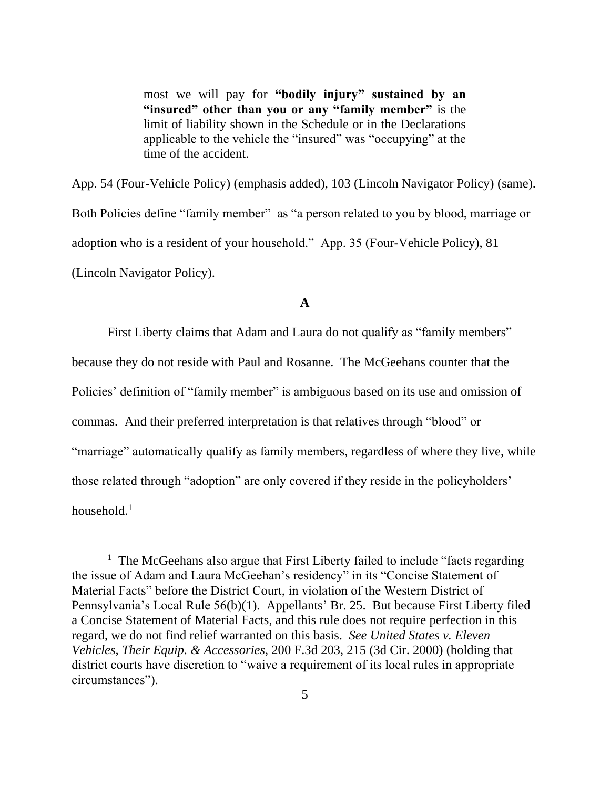most we will pay for **"bodily injury" sustained by an "insured" other than you or any "family member"** is the limit of liability shown in the Schedule or in the Declarations applicable to the vehicle the "insured" was "occupying" at the time of the accident.

App. 54 (Four-Vehicle Policy) (emphasis added), 103 (Lincoln Navigator Policy) (same). Both Policies define "family member" as "a person related to you by blood, marriage or adoption who is a resident of your household." App. 35 (Four-Vehicle Policy), 81 (Lincoln Navigator Policy).

## **A**

First Liberty claims that Adam and Laura do not qualify as "family members" because they do not reside with Paul and Rosanne. The McGeehans counter that the Policies' definition of "family member" is ambiguous based on its use and omission of commas. And their preferred interpretation is that relatives through "blood" or "marriage" automatically qualify as family members, regardless of where they live, while those related through "adoption" are only covered if they reside in the policyholders' household.<sup>1</sup>

<sup>&</sup>lt;sup>1</sup> The McGeehans also argue that First Liberty failed to include "facts regarding the issue of Adam and Laura McGeehan's residency" in its "Concise Statement of Material Facts" before the District Court, in violation of the Western District of Pennsylvania's Local Rule 56(b)(1). Appellants' Br. 25. But because First Liberty filed a Concise Statement of Material Facts, and this rule does not require perfection in this regard, we do not find relief warranted on this basis. *See United States v. Eleven Vehicles, Their Equip. & Accessories*, 200 F.3d 203, 215 (3d Cir. 2000) (holding that district courts have discretion to "waive a requirement of its local rules in appropriate circumstances").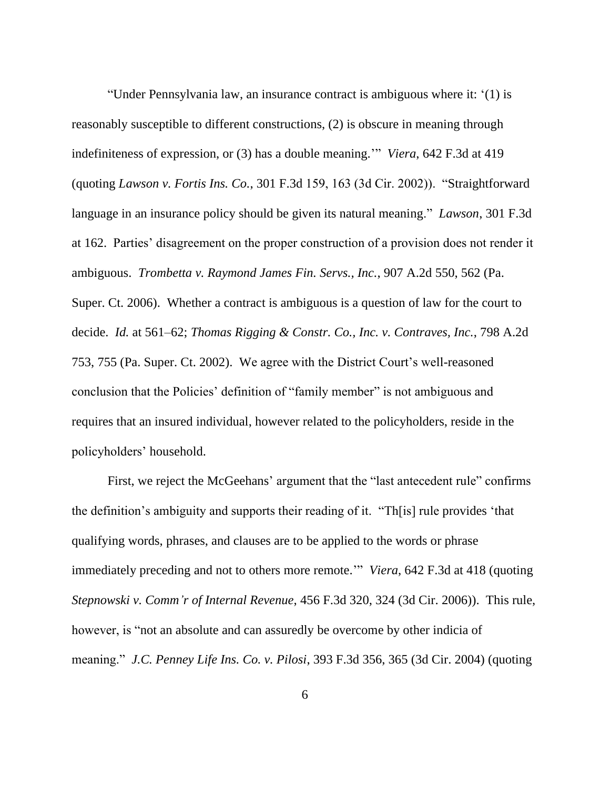"Under Pennsylvania law, an insurance contract is ambiguous where it: '(1) is reasonably susceptible to different constructions, (2) is obscure in meaning through indefiniteness of expression, or (3) has a double meaning.'" *Viera*, 642 F.3d at 419 (quoting *Lawson v. Fortis Ins. Co.*, 301 F.3d 159, 163 (3d Cir. 2002)). "Straightforward language in an insurance policy should be given its natural meaning." *Lawson*, 301 F.3d at 162. Parties' disagreement on the proper construction of a provision does not render it ambiguous. *Trombetta v. Raymond James Fin. Servs., Inc.*, 907 A.2d 550, 562 (Pa. Super. Ct. 2006). Whether a contract is ambiguous is a question of law for the court to decide. *Id.* at 561–62; *Thomas Rigging & Constr. Co., Inc. v. Contraves, Inc.*, 798 A.2d 753, 755 (Pa. Super. Ct. 2002). We agree with the District Court's well-reasoned conclusion that the Policies' definition of "family member" is not ambiguous and requires that an insured individual, however related to the policyholders, reside in the policyholders' household.

First, we reject the McGeehans' argument that the "last antecedent rule" confirms the definition's ambiguity and supports their reading of it. "Th[is] rule provides 'that qualifying words, phrases, and clauses are to be applied to the words or phrase immediately preceding and not to others more remote.'" *Viera*, 642 F.3d at 418 (quoting *Stepnowski v. Comm'r of Internal Revenue*, 456 F.3d 320, 324 (3d Cir. 2006)). This rule, however, is "not an absolute and can assuredly be overcome by other indicia of meaning." *J.C. Penney Life Ins. Co. v. Pilosi*, 393 F.3d 356, 365 (3d Cir. 2004) (quoting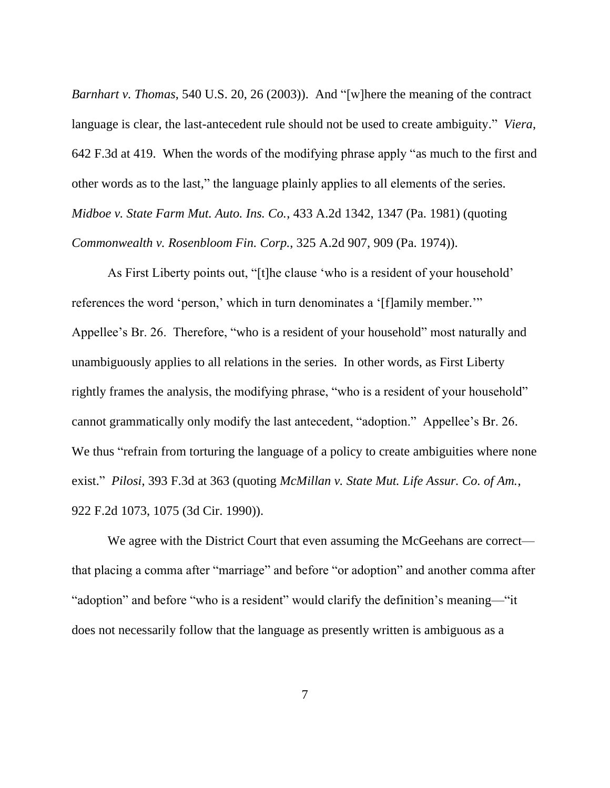*Barnhart v. Thomas*, 540 U.S. 20, 26 (2003)). And "[w]here the meaning of the contract language is clear, the last-antecedent rule should not be used to create ambiguity." *Viera*, 642 F.3d at 419. When the words of the modifying phrase apply "as much to the first and other words as to the last," the language plainly applies to all elements of the series. *Midboe v. State Farm Mut. Auto. Ins. Co.*, 433 A.2d 1342, 1347 (Pa. 1981) (quoting *Commonwealth v. Rosenbloom Fin. Corp.*, 325 A.2d 907, 909 (Pa. 1974)).

As First Liberty points out, "[t]he clause 'who is a resident of your household' references the word 'person,' which in turn denominates a '[f]amily member.'" Appellee's Br. 26. Therefore, "who is a resident of your household" most naturally and unambiguously applies to all relations in the series. In other words, as First Liberty rightly frames the analysis, the modifying phrase, "who is a resident of your household" cannot grammatically only modify the last antecedent, "adoption." Appellee's Br. 26. We thus "refrain from torturing the language of a policy to create ambiguities where none exist." *Pilosi*, 393 F.3d at 363 (quoting *McMillan v. State Mut. Life Assur. Co. of Am.*, 922 F.2d 1073, 1075 (3d Cir. 1990)).

We agree with the District Court that even assuming the McGeehans are correct that placing a comma after "marriage" and before "or adoption" and another comma after "adoption" and before "who is a resident" would clarify the definition's meaning—"it does not necessarily follow that the language as presently written is ambiguous as a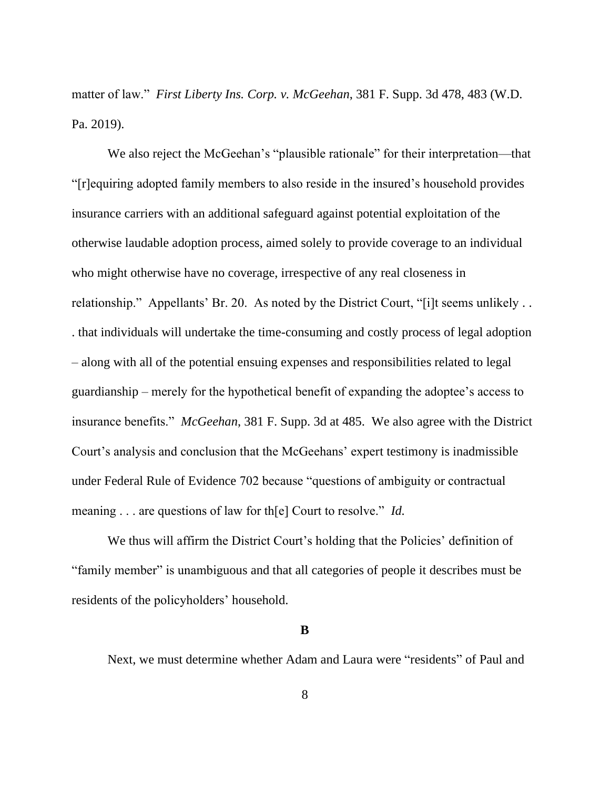matter of law." *First Liberty Ins. Corp. v. McGeehan*, 381 F. Supp. 3d 478, 483 (W.D. Pa. 2019).

We also reject the McGeehan's "plausible rationale" for their interpretation—that "[r]equiring adopted family members to also reside in the insured's household provides insurance carriers with an additional safeguard against potential exploitation of the otherwise laudable adoption process, aimed solely to provide coverage to an individual who might otherwise have no coverage, irrespective of any real closeness in relationship." Appellants' Br. 20. As noted by the District Court, "[i]t seems unlikely . . . that individuals will undertake the time-consuming and costly process of legal adoption – along with all of the potential ensuing expenses and responsibilities related to legal guardianship – merely for the hypothetical benefit of expanding the adoptee's access to insurance benefits." *McGeehan*, 381 F. Supp. 3d at 485. We also agree with the District Court's analysis and conclusion that the McGeehans' expert testimony is inadmissible under Federal Rule of Evidence 702 because "questions of ambiguity or contractual meaning . . . are questions of law for th[e] Court to resolve." *Id.*

We thus will affirm the District Court's holding that the Policies' definition of "family member" is unambiguous and that all categories of people it describes must be residents of the policyholders' household.

**B**

Next, we must determine whether Adam and Laura were "residents" of Paul and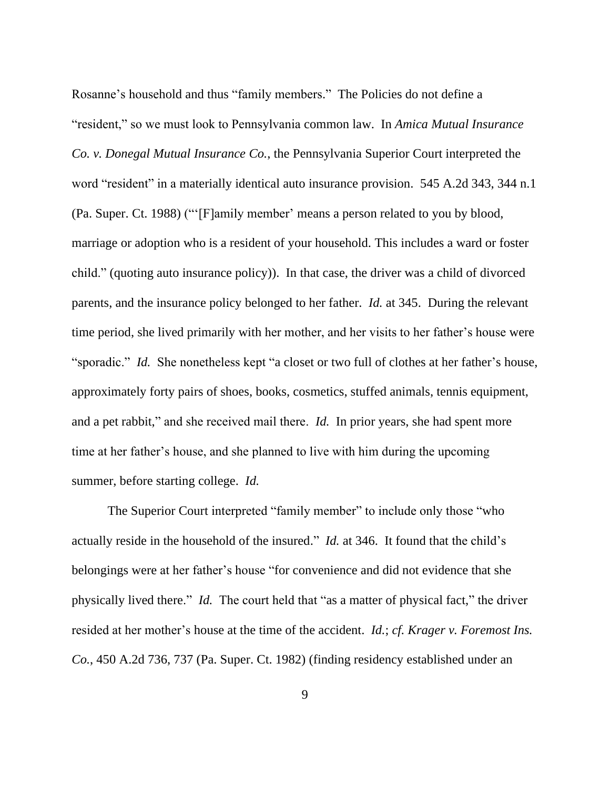Rosanne's household and thus "family members." The Policies do not define a "resident," so we must look to Pennsylvania common law. In *Amica Mutual Insurance Co. v. Donegal Mutual Insurance Co.*, the Pennsylvania Superior Court interpreted the word "resident" in a materially identical auto insurance provision. 545 A.2d 343, 344 n.1 (Pa. Super. Ct. 1988) ("'[F]amily member' means a person related to you by blood, marriage or adoption who is a resident of your household. This includes a ward or foster child." (quoting auto insurance policy)). In that case, the driver was a child of divorced parents, and the insurance policy belonged to her father. *Id.* at 345. During the relevant time period, she lived primarily with her mother, and her visits to her father's house were "sporadic." *Id.* She nonetheless kept "a closet or two full of clothes at her father's house, approximately forty pairs of shoes, books, cosmetics, stuffed animals, tennis equipment, and a pet rabbit," and she received mail there. *Id.* In prior years, she had spent more time at her father's house, and she planned to live with him during the upcoming summer, before starting college. *Id.*

The Superior Court interpreted "family member" to include only those "who actually reside in the household of the insured." *Id.* at 346. It found that the child's belongings were at her father's house "for convenience and did not evidence that she physically lived there." *Id.* The court held that "as a matter of physical fact," the driver resided at her mother's house at the time of the accident. *Id.*; *cf. Krager v. Foremost Ins. Co.*, 450 A.2d 736, 737 (Pa. Super. Ct. 1982) (finding residency established under an